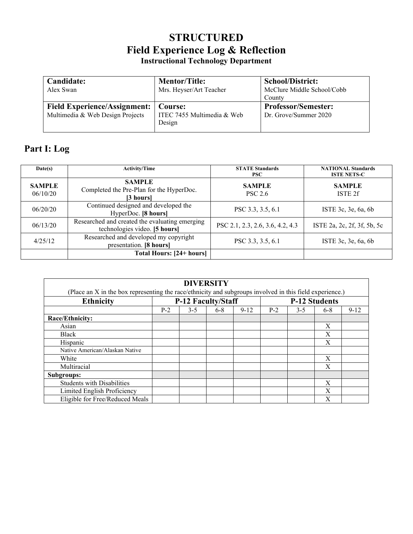## **STRUCTURED Field Experience Log & Reflection Instructional Technology Department**

| Candidate:<br>Alex Swan                       | <b>Mentor/Title:</b><br>Mrs. Heyser/Art Teacher | <b>School/District:</b><br>McClure Middle School/Cobb<br>County |  |  |
|-----------------------------------------------|-------------------------------------------------|-----------------------------------------------------------------|--|--|
| <b>Field Experience/Assignment:</b>   Course: | ITEC 7455 Multimedia & Web                      | <b>Professor/Semester:</b>                                      |  |  |
| Multimedia & Web Design Projects              | Design                                          | Dr. Grove/Summer 2020                                           |  |  |

## **Part I: Log**

| Date(s)                   | <b>Activity/Time</b>                                                            | <b>STATE Standards</b><br><b>PSC</b> | <b>NATIONAL Standards</b><br><b>ISTE NETS-C</b> |
|---------------------------|---------------------------------------------------------------------------------|--------------------------------------|-------------------------------------------------|
| <b>SAMPLE</b><br>06/10/20 | <b>SAMPLE</b><br>Completed the Pre-Plan for the HyperDoc.<br>[3 hours]          | <b>SAMPLE</b><br><b>PSC 2.6</b>      | <b>SAMPLE</b><br>ISTE 2f                        |
| 06/20/20                  | Continued designed and developed the<br>HyperDoc. [8 hours]                     | PSC 3.3, 3.5, 6.1                    | ISTE 3c, 3e, 6a, 6b                             |
| 06/13/20                  | Researched and created the evaluating emerging<br>technologies video. [5 hours] | PSC 2.1, 2.3, 2.6, 3.6, 4.2, 4.3     | ISTE 2a, 2c, 2f, 3f, 5b, 5c                     |
| 4/25/12                   | Researched and developed my copyright<br>presentation. [8 hours]                | PSC 3.3, 3.5, 6.1                    | ISTE 3c, 3e, 6a, 6b                             |
|                           | <b>Total Hours: [24+ hours]</b>                                                 |                                      |                                                 |

| <b>DIVERSITY</b>                                                                                         |                    |         |         |                      |       |         |         |          |  |  |  |
|----------------------------------------------------------------------------------------------------------|--------------------|---------|---------|----------------------|-------|---------|---------|----------|--|--|--|
| (Place an X in the box representing the race/ethnicity and subgroups involved in this field experience.) |                    |         |         |                      |       |         |         |          |  |  |  |
| <b>Ethnicity</b>                                                                                         | P-12 Faculty/Staff |         |         | <b>P-12 Students</b> |       |         |         |          |  |  |  |
|                                                                                                          | $P-2$              | $3 - 5$ | $6 - 8$ | $9 - 12$             | $P-2$ | $3 - 5$ | $6 - 8$ | $9 - 12$ |  |  |  |
| Race/Ethnicity:                                                                                          |                    |         |         |                      |       |         |         |          |  |  |  |
| Asian                                                                                                    |                    |         |         |                      |       |         | Χ       |          |  |  |  |
| Black                                                                                                    |                    |         |         |                      |       |         | Χ       |          |  |  |  |
| Hispanic                                                                                                 |                    |         |         |                      |       |         | Χ       |          |  |  |  |
| Native American/Alaskan Native                                                                           |                    |         |         |                      |       |         |         |          |  |  |  |
| White                                                                                                    |                    |         |         |                      |       |         | X       |          |  |  |  |
| Multiracial                                                                                              |                    |         |         |                      |       |         | X       |          |  |  |  |
| Subgroups:                                                                                               |                    |         |         |                      |       |         |         |          |  |  |  |
| <b>Students with Disabilities</b>                                                                        |                    |         |         |                      |       |         | X       |          |  |  |  |
| Limited English Proficiency                                                                              |                    |         |         |                      |       |         | Χ       |          |  |  |  |
| Eligible for Free/Reduced Meals                                                                          |                    |         |         |                      |       |         | X       |          |  |  |  |